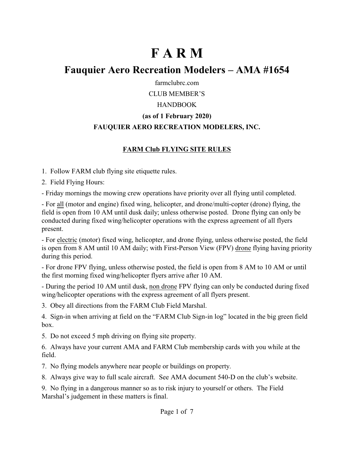# **F A R M**

## **Fauquier Aero Recreation Modelers – AMA #1654**

farmclubrc.com

CLUB MEMBER'S

#### HANDBOOK

## **(as of 1 February 2020)**

## **FAUQUIER AERO RECREATION MODELERS, INC.**

## **FARM Club FLYING SITE RULES**

1. Follow FARM club flying site etiquette rules.

2. Field Flying Hours:

- Friday mornings the mowing crew operations have priority over all flying until completed.

- For all (motor and engine) fixed wing, helicopter, and drone/multi-copter (drone) flying, the field is open from 10 AM until dusk daily; unless otherwise posted. Drone flying can only be conducted during fixed wing/helicopter operations with the express agreement of all flyers present.

- For electric (motor) fixed wing, helicopter, and drone flying, unless otherwise posted, the field is open from 8 AM until 10 AM daily; with First-Person View (FPV) drone flying having priority during this period.

- For drone FPV flying, unless otherwise posted, the field is open from 8 AM to 10 AM or until the first morning fixed wing/helicopter flyers arrive after 10 AM.

- During the period 10 AM until dusk, non drone FPV flying can only be conducted during fixed wing/helicopter operations with the express agreement of all flyers present.

3. Obey all directions from the FARM Club Field Marshal.

4. Sign-in when arriving at field on the "FARM Club Sign-in log" located in the big green field box.

5. Do not exceed 5 mph driving on flying site property.

6. Always have your current AMA and FARM Club membership cards with you while at the field.

7. No flying models anywhere near people or buildings on property.

8. Always give way to full scale aircraft. See AMA document 540-D on the club's website.

9. No flying in a dangerous manner so as to risk injury to yourself or others. The Field Marshal's judgement in these matters is final.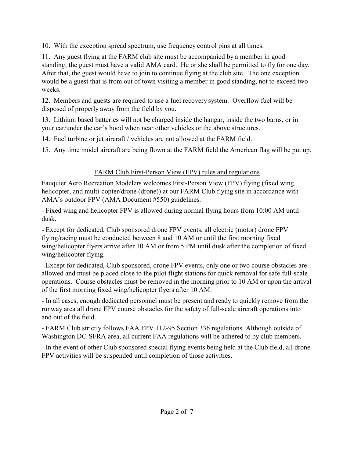10. With the exception spread spectrum, use frequency control pins at all times.

11. Any guest flying at the FARM club site must be accompanied by a member in good standing; the guest must have a valid AMA card. He or she shall be permitted to fly for one day. After that, the guest would have to join to continue flying at the club site. The one exception would be a guest that is from out of town visiting a member in good standing, not to exceed two weeks.

12. Members and guests are required to use a fuel recovery system. Overflow fuel will be disposed of properly away from the field by you.

13. Lithium based batteries will not be charged inside the hangar, inside the two barns, or in your car/under the car's hood when near other vehicles or the above structures.

14. Fuel turbine or jet aircraft / vehicles are not allowed at the FARM field.

15. Any time model aircraft are being flown at the FARM field the American flag will be put up.

## FARM Club First-Person View (FPV) rules and regulations

Fauquier Aero Recreation Modelers welcomes First-Person View (FPV) flying (fixed wing, helicopter, and multi-copter/drone (drone)) at our FARM Club flying site in accordance with AMA's outdoor FPV (AMA Document #550) guidelines.

- Fixed wing and helicopter FPV is allowed during normal flying hours from 10:00 AM until dusk.

- Except for dedicated, Club sponsored drone FPV events, all electric (motor) drone FPV flying/racing must be conducted between 8 and 10 AM or until the first morning fixed wing/helicopter flyers arrive after 10 AM or from 5 PM until dusk after the completion of fixed wing/helicopter flying.

- Except for dedicated, Club sponsored, drone FPV events, only one or two course obstacles are allowed and must be placed close to the pilot flight stations for quick removal for safe full-scale operations. Course obstacles must be removed in the morning prior to 10 AM or upon the arrival of the first morning fixed wing/helicopter flyers after 10 AM.

- In all cases, enough dedicated personnel must be present and ready to quickly remove from the runway area all drone FPV course obstacles for the safety of full-scale aircraft operations into and out of the field.

- FARM Club strictly follows FAA FPV 112-95 Section 336 regulations. Although outside of Washington DC-SFRA area, all current FAA regulations will be adhered to by club members.

- In the event of other Club sponsored special flying events being held at the Club field, all drone FPV activities will be suspended until completion of those activities.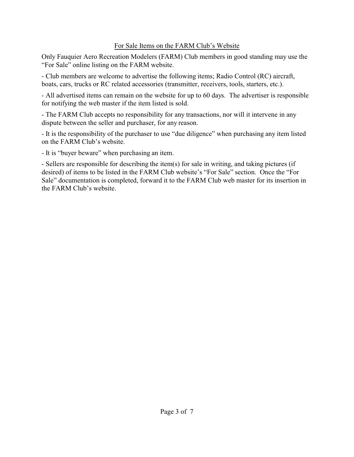#### For Sale Items on the FARM Club's Website

Only Fauquier Aero Recreation Modelers (FARM) Club members in good standing may use the "For Sale" online listing on the FARM website.

- Club members are welcome to advertise the following items; Radio Control (RC) aircraft, boats, cars, trucks or RC related accessories (transmitter, receivers, tools, starters, etc.).

- All advertised items can remain on the website for up to 60 days. The advertiser is responsible for notifying the web master if the item listed is sold.

- The FARM Club accepts no responsibility for any transactions, nor will it intervene in any dispute between the seller and purchaser, for any reason.

- It is the responsibility of the purchaser to use "due diligence" when purchasing any item listed on the FARM Club's website.

- It is "buyer beware" when purchasing an item.

- Sellers are responsible for describing the item(s) for sale in writing, and taking pictures (if desired) of items to be listed in the FARM Club website's "For Sale" section. Once the "For Sale" documentation is completed, forward it to the FARM Club web master for its insertion in the FARM Club's website.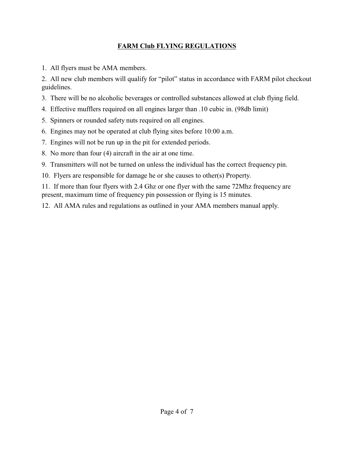#### **FARM Club FLYING REGULATIONS**

1. All flyers must be AMA members.

2. All new club members will qualify for "pilot" status in accordance with FARM pilot checkout guidelines.

- 3. There will be no alcoholic beverages or controlled substances allowed at club flying field.
- 4. Effective mufflers required on all engines larger than .10 cubic in. (98db limit)
- 5. Spinners or rounded safety nuts required on all engines.
- 6. Engines may not be operated at club flying sites before 10:00 a.m.
- 7. Engines will not be run up in the pit for extended periods.
- 8. No more than four (4) aircraft in the air at one time.
- 9. Transmitters will not be turned on unless the individual has the correct frequency pin.
- 10. Flyers are responsible for damage he or she causes to other(s) Property.
- 11. If more than four flyers with 2.4 Ghz or one flyer with the same 72Mhz frequency are present, maximum time of frequency pin possession or flying is 15 minutes.
- 12. All AMA rules and regulations as outlined in your AMA members manual apply.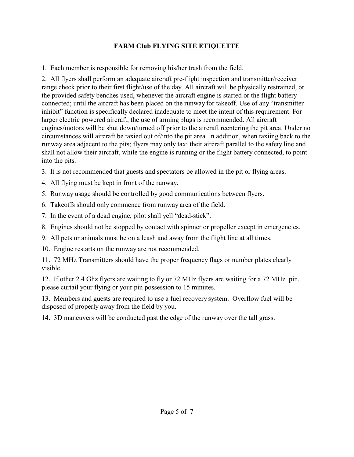## **FARM Club FLYING SITE ETIQUETTE**

1. Each member is responsible for removing his/her trash from the field.

2. All flyers shall perform an adequate aircraft pre-flight inspection and transmitter/receiver range check prior to their first flight/use of the day. All aircraft will be physically restrained, or the provided safety benches used, whenever the aircraft engine is started or the flight battery connected; until the aircraft has been placed on the runway for takeoff. Use of any "transmitter inhibit" function is specifically declared inadequate to meet the intent of this requirement. For larger electric powered aircraft, the use of arming plugs is recommended. All aircraft engines/motors will be shut down/turned off prior to the aircraft reentering the pit area. Under no circumstances will aircraft be taxied out of/into the pit area. In addition, when taxiing back to the runway area adjacent to the pits; flyers may only taxi their aircraft parallel to the safety line and shall not allow their aircraft, while the engine is running or the flight battery connected, to point into the pits.

- 3. It is not recommended that guests and spectators be allowed in the pit or flying areas.
- 4. All flying must be kept in front of the runway.
- 5. Runway usage should be controlled by good communications between flyers.
- 6. Takeoffs should only commence from runway area of the field.
- 7. In the event of a dead engine, pilot shall yell "dead-stick".
- 8. Engines should not be stopped by contact with spinner or propeller except in emergencies.
- 9. All pets or animals must be on a leash and away from the flight line at all times.
- 10. Engine restarts on the runway are not recommended.

11. 72 MHz Transmitters should have the proper frequency flags or number plates clearly visible.

12. If other 2.4 Ghz flyers are waiting to fly or 72 MHz flyers are waiting for a 72 MHz pin, please curtail your flying or your pin possession to 15 minutes.

13. Members and guests are required to use a fuel recovery system. Overflow fuel will be disposed of properly away from the field by you.

14. 3D maneuvers will be conducted past the edge of the runway over the tall grass.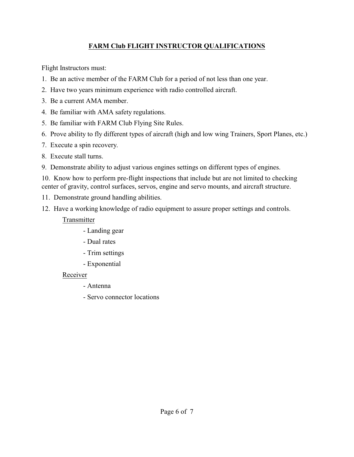## **FARM Club FLIGHT INSTRUCTOR QUALIFICATIONS**

Flight Instructors must:

- 1. Be an active member of the FARM Club for a period of not less than one year.
- 2. Have two years minimum experience with radio controlled aircraft.
- 3. Be a current AMA member.
- 4. Be familiar with AMA safety regulations.
- 5. Be familiar with FARM Club Flying Site Rules.
- 6. Prove ability to fly different types of aircraft (high and low wing Trainers, Sport Planes, etc.)
- 7. Execute a spin recovery.
- 8. Execute stall turns.
- 9. Demonstrate ability to adjust various engines settings on different types of engines.

10. Know how to perform pre-flight inspections that include but are not limited to checking center of gravity, control surfaces, servos, engine and servo mounts, and aircraft structure.

- 11. Demonstrate ground handling abilities.
- 12. Have a working knowledge of radio equipment to assure proper settings and controls.

#### Transmitter

- Landing gear
- Dual rates
- Trim settings
- Exponential

## Receiver

- Antenna
- Servo connector locations